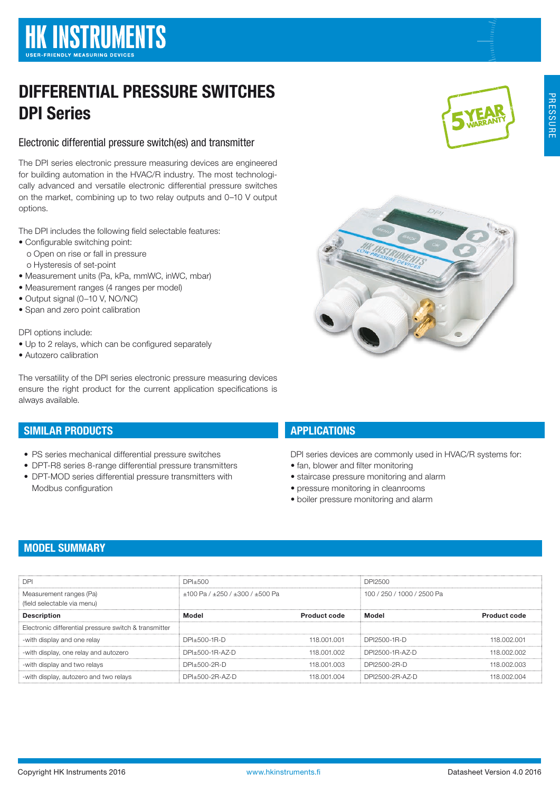# DIFFERENTIAL PRESSURE SWITCHES DPI Series

## Electronic differential pressure switch(es) and transmitter

The DPI series electronic pressure measuring devices are engineered for building automation in the HVAC/R industry. The most technologically advanced and versatile electronic differential pressure switches on the market, combining up to two relay outputs and 0–10 V output options.

The DPI includes the following field selectable features:

- Configurable switching point:
	- o Open on rise or fall in pressure
	- o Hysteresis of set-point
- Measurement units (Pa, kPa, mmWC, inWC, mbar)
- Measurement ranges (4 ranges per model)
- Output signal (0−10 V, NO/NC)
- Span and zero point calibration

DPI options include:

- Up to 2 relays, which can be configured separately
- Autozero calibration

The versatility of the DPI series electronic pressure measuring devices ensure the right product for the current application specifications is always available.

# SIMILAR PRODUCTS

- PS series mechanical differential pressure switches
- DPT-R8 series 8-range differential pressure transmitters
- DPT-MOD series differential pressure transmitters with Modbus configuration

# **APPLICATIONS**

DPI series devices are commonly used in HVAC/R systems for:

- fan, blower and filter monitoring
- staircase pressure monitoring and alarm
- pressure monitoring in cleanrooms • boiler pressure monitoring and alarm

# MODEL SUMMARY

| <b>DPI</b>                                             | DPI+500                                 |                     | DPI2500                    |                     |
|--------------------------------------------------------|-----------------------------------------|---------------------|----------------------------|---------------------|
| Measurement ranges (Pa)<br>(field selectable via menu) | $+100$ Pa $/ +250$ $/ +300$ $/ +500$ Pa |                     | 100 / 250 / 1000 / 2500 Pa |                     |
| <b>Description</b>                                     | Model                                   | <b>Product code</b> | Model                      | <b>Product code</b> |
| Electronic differential pressure switch & transmitter  |                                         |                     |                            |                     |
| -with display and one relay                            | DPI+500-1R-D                            | 118 001 001         | DPI2500-1R-D               | 118,002,001         |
| -with display, one relay and autozero                  | DPI+500-1R-A7-D                         | 118 001 002         | DPI2500-1R-AZ-D            | 118,002,002         |
| -with display and two relays                           | DPI+500-2R-D                            | 118,001,003         | DPI2500-2R-D               | 118,002,003         |
| -with display, autozero and two relays                 | DPI+500-2R-AZ-D                         | 118.001.004         | DPI2500-2R-AZ-D            | 118.002.004         |